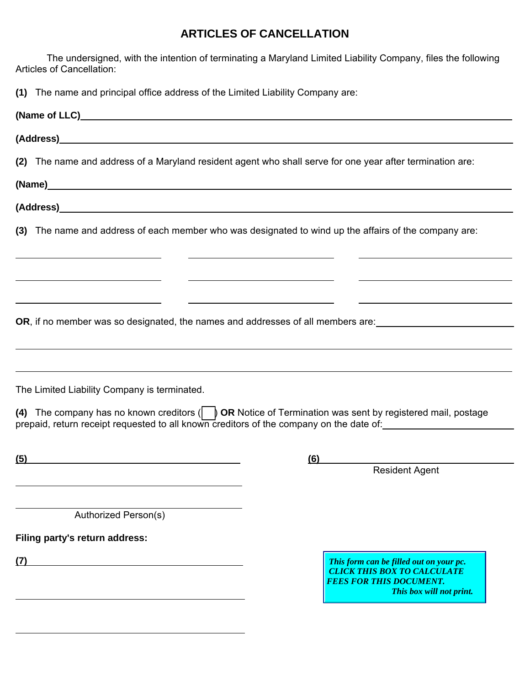## **ARTICLES OF CANCELLATION**

The undersigned, with the intention of terminating a Maryland Limited Liability Company, files the following Articles of Cancellation:

**(1)** The name and principal office address of the Limited Liability Company are:

 $\overline{a}$ 

|                                                                                 | (2) The name and address of a Maryland resident agent who shall serve for one year after termination are:                                                                                                                              |
|---------------------------------------------------------------------------------|----------------------------------------------------------------------------------------------------------------------------------------------------------------------------------------------------------------------------------------|
|                                                                                 |                                                                                                                                                                                                                                        |
|                                                                                 |                                                                                                                                                                                                                                        |
|                                                                                 | (3) The name and address of each member who was designated to wind up the affairs of the company are:<br><u> 1980 - Johann Barn, mars ann an t-Amhainn an t-Amhainn an t-Amhainn an t-Amhainn an t-Amhainn an t-Amhainn an</u>         |
| the contract of the contract of the contract of the contract of the contract of |                                                                                                                                                                                                                                        |
| <u> 1980 - Andrea Station Barbara, amerikan personal (h. 1980).</u>             | <u> Alexandria de la contrada de la contrada de la contrada de la contrada de la contrada de la contrada de la c</u><br>OR, if no member was so designated, the names and addresses of all members are: ______________________________ |
| The Limited Liability Company is terminated.                                    | (4) The company has no known creditors $\begin{pmatrix} 1 & b \end{pmatrix}$ OR Notice of Termination was sent by registered mail, postage<br>prepaid, return receipt requested to all known creditors of the company on the date of:  |
| (5)                                                                             | $\overline{6}$<br><b>Resident Agent</b>                                                                                                                                                                                                |
|                                                                                 |                                                                                                                                                                                                                                        |
| Authorized Person(s)                                                            |                                                                                                                                                                                                                                        |
| Filing party's return address:                                                  |                                                                                                                                                                                                                                        |
| (7)                                                                             | This form can be filled out on your pc.<br><b>CLICK THIS BOX TO CALCULATE</b><br><b>FEES FOR THIS DOCUMENT.</b><br>This box will not print.                                                                                            |
|                                                                                 |                                                                                                                                                                                                                                        |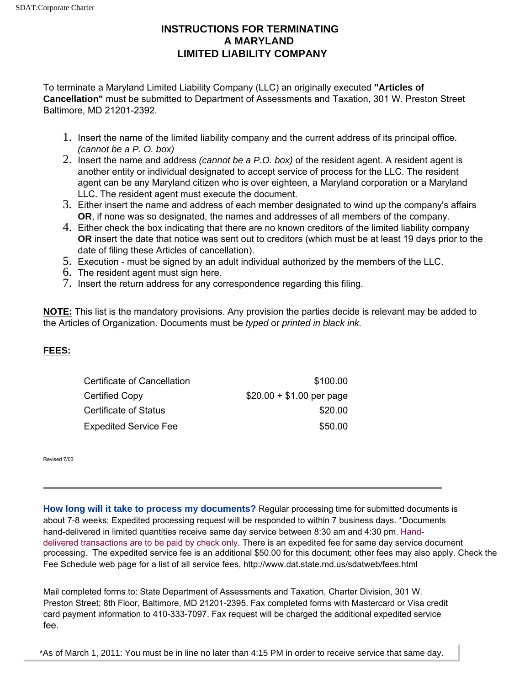## **INSTRUCTIONS FOR TERMINATING A MARYLAND LIMITED LIABILITY COMPANY**

To terminate a Maryland Limited Liability Company (LLC) an originally executed **"Articles of Cancellation"** must be submitted to Department of Assessments and Taxation, 301 W. Preston Street Baltimore, MD 21201-2392.

- 1. Insert the name of the limited liability company and the current address of its principal office. *(cannot be a P. O. box)*
- 2. Insert the name and address *(cannot be a P.O. box)* of the resident agent. A resident agent is another entity or individual designated to accept service of process for the LLC. The resident agent can be any Maryland citizen who is over eighteen, a Maryland corporation or a Maryland LLC. The resident agent must execute the document.
- 3. Either insert the name and address of each member designated to wind up the company's affairs **OR**, if none was so designated, the names and addresses of all members of the company.
- 4. Either check the box indicating that there are no known creditors of the limited liability company **OR** insert the date that notice was sent out to creditors (which must be at least 19 days prior to the date of filing these Articles of cancellation).
- 5. Execution must be signed by an adult individual authorized by the members of the LLC.
- 6. The resident agent must sign here.
- 7. Insert the return address for any correspondence regarding this filing.

**NOTE:** This list is the mandatory provisions. Any provision the parties decide is relevant may be added to the Articles of Organization. Documents must be *typed* or *printed in black ink.*

## **FEES:**

| Certificate of Cancellation  | \$100.00                  |
|------------------------------|---------------------------|
| Certified Copy               | $$20.00 + $1.00$ per page |
| Certificate of Status        | \$20.00                   |
| <b>Expedited Service Fee</b> | \$50.00                   |

Revised 7/03

**How long will it take to process my documents?** Regular processing time for submitted documents is about 7-8 weeks; Expedited processing request will be responded to within 7 business days. \*Documents hand-delivered in limited quantities receive same day service between 8:30 am and 4:30 pm. Handdelivered transactions are to be paid by check only. There is an expedited fee for same day service document processing. The expedited service fee is an additional \$50.00 for this document; other fees may also apply. Check the Fee Schedule web page for a list of all service fees, http://www.dat.state.md.us/sdatweb/fees.html

Mail completed forms to: State Department of Assessments and Taxation, Charter Division, 301 W. Preston Street; 8th Floor, Baltimore, MD 21201-2395. Fax completed forms with Mastercard or Visa credit card payment information to 410-333-7097. Fax request will be charged the additional expedited service fee.

\*As of March 1, 2011: You must be in line no later than 4:15 PM in order to receive service that same day.